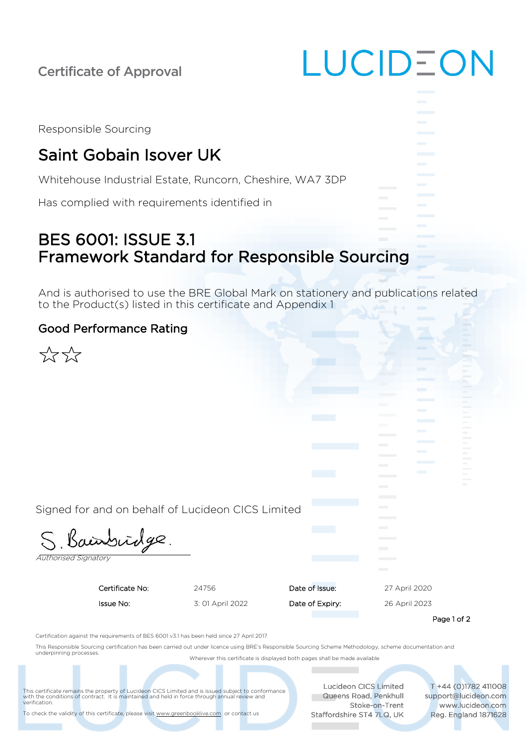Certificate of Approval

| Responsible Sourcing |  |  |
|----------------------|--|--|
|                      |  |  |

# Saint Gobain Isover UK

Whitehouse Industrial Estate, Runcorn, Cheshire, WA7 3DP

Has complied with requirements identified in

### BES 6001: ISSUE 3.1 Framework Standard for Responsible Sourcing

And is authorised to use the BRE Global Mark on stationery and publications related to the Product(s) listed in this certificate and Appendix 1

#### Good Performance Rating

|                             |                                                                                                                                                          |                  |                 | <b>The Common</b> |                | w<br>$\mathbf{m}$<br>$\sim$<br>$\sim$ |
|-----------------------------|----------------------------------------------------------------------------------------------------------------------------------------------------------|------------------|-----------------|-------------------|----------------|---------------------------------------|
|                             |                                                                                                                                                          |                  |                 |                   | <b>Barbara</b> |                                       |
| <b>Authorised Signatory</b> | Signed for and on behalf of Lucideon CICS Limited<br>S. Bainbridge.                                                                                      |                  |                 |                   |                |                                       |
|                             | Certificate No:                                                                                                                                          | 24756            | Date of Issue:  | 27 April 2020     |                |                                       |
|                             | Issue No:                                                                                                                                                | 3: 01 April 2022 | Date of Expiry: | 26 April 2023     |                |                                       |
|                             |                                                                                                                                                          |                  |                 |                   | Page 1 of 2    |                                       |
|                             | Certification against the requirements of BES 6001 v3.1 has been held since 27 April 2017                                                                |                  |                 |                   |                |                                       |
| underpinning processes.     | This Responsible Sourcing certification has been carried out under licence using BRE's Responsible Sourcing Scheme Methodology, scheme documentation and |                  |                 |                   |                |                                       |

Wherever this certificate is displayed both pages shall be made available

This certificate remains the property of Lucideon CICS Limited and is issued subject to conformance with the conditions of contract. It is maintained and held in force through annual review and verification.

To check the validity of this certificate, please visi[t www.greenbooklive.com](http://www.greenbooklive.com/) or contact us

Lucideon CICS Limited **Queens Road, Penkhull** Stoke-on-Trent Staffordshire ST4 7LQ, UK

**Contract Contract** 

LUCIDEON

T +44 (0)1782 411008 support@lucideon.com www.lucideon.com Reg. England 1871628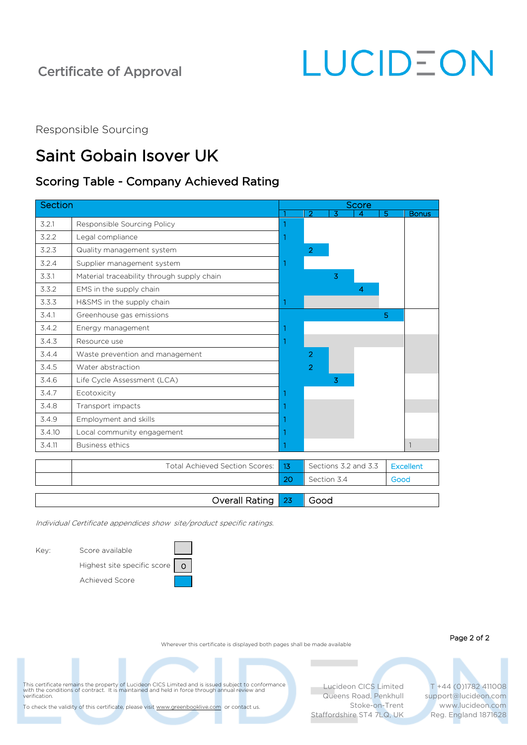### Certificate of Approval

LUCIDEON

Responsible Sourcing

## Saint Gobain Isover UK

### Scoring Table - Company Achieved Rating

| Section |                                            |    |                     |   | Score                |   |                  |
|---------|--------------------------------------------|----|---------------------|---|----------------------|---|------------------|
|         |                                            |    | $\overline{2}$      | 3 |                      | 5 | <b>Bonus</b>     |
| 3.2.1   | Responsible Sourcing Policy                | 1  |                     |   |                      |   |                  |
| 3.2.2   | Legal compliance                           | 1  |                     |   |                      |   |                  |
| 3.2.3   | Quality management system                  |    | $\overline{2}$      |   |                      |   |                  |
| 3.2.4   | Supplier management system                 | 1  |                     |   |                      |   |                  |
| 3.3.1   | Material traceability through supply chain |    |                     | 3 |                      |   |                  |
| 3.3.2   | EMS in the supply chain                    |    |                     |   | 4                    |   |                  |
| 3.3.3   | H&SMS in the supply chain                  | 1  |                     |   |                      |   |                  |
| 3.4.1   | Greenhouse gas emissions                   |    |                     |   |                      | 5 |                  |
| 3.4.2   | Energy management                          | 1  |                     |   |                      |   |                  |
| 3.4.3   | Resource use                               | 1  |                     |   |                      |   |                  |
| 3.4.4   | Waste prevention and management            |    | 2                   |   |                      |   |                  |
| 3.4.5   | Water abstraction                          |    | $\overline{2}$      |   |                      |   |                  |
| 3.4.6   | Life Cycle Assessment (LCA)                |    |                     | 3 |                      |   |                  |
| 3.4.7   | Ecotoxicity                                | 1  |                     |   |                      |   |                  |
| 3.4.8   | Transport impacts                          |    |                     |   |                      |   |                  |
| 3.4.9   | Employment and skills                      | 1  |                     |   |                      |   |                  |
| 3.4.10  | Local community engagement                 | 1  |                     |   |                      |   |                  |
| 3.4.11  | <b>Business ethics</b>                     | 1  |                     |   |                      |   | $\mathbf{1}$     |
|         | Total Achieved Section Scores:             | 13 |                     |   | Sections 3.2 and 3.3 |   | <b>Excellent</b> |
|         |                                            | 20 | Section 3.4<br>Good |   |                      |   |                  |
|         |                                            |    |                     |   |                      |   |                  |
|         | Overall Rating                             | 23 | Good                |   |                      |   |                  |

Individual Certificate appendices show site/product specific ratings.

Key: Score available

| Score available                                               |  |
|---------------------------------------------------------------|--|
| Highest site specific score $\begin{bmatrix} 0 \end{bmatrix}$ |  |
| Achieved Score                                                |  |

Wherever this certificate is displayed both pages shall be made available

Page 2 of 2

This certificate remains the property of Lucideon CICS Limited and is issued subject to conformance<br>with the conditions of contract. It is maintained and held in force through annual review and<br>verification.

To check the validity of this certificate, please visi[t www.greenbooklive.com](http://www.greenbooklive.com/) or contact us.

Lucideon CICS Limited Queens Road, Penkhull Stoke-on-Trent Staffordshire ST4 7LQ, UK

**COL** 

T +44 (0)1782 411008 support@lucideon.com www.lucideon.com Reg. England 1871628